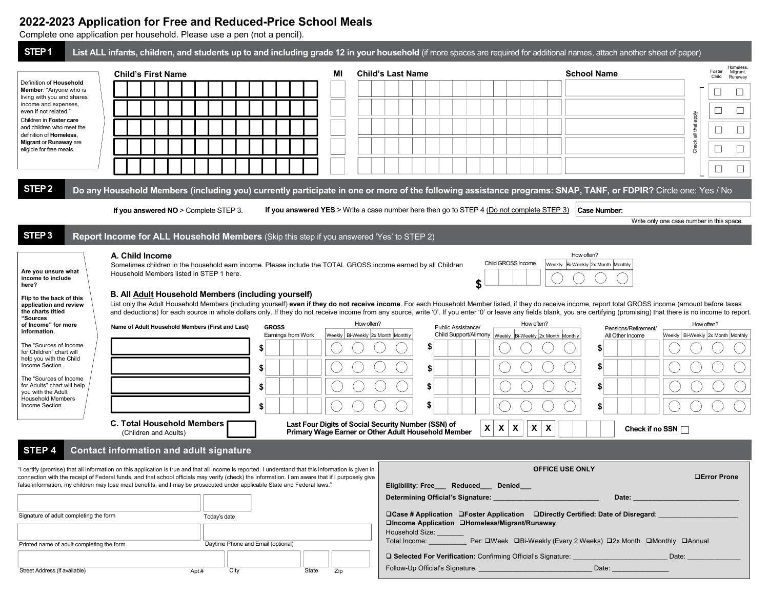# 2022-2023 Application for Free and Reduced-Price School Meals

Complete one application per household. Please use a pen (not a pencil).

| STEP <sub>1</sub>                                                                                                                                                                                                                                                                | List ALL infants, children, and students up to and including grade 12 in your household (if more spaces are required for additional names, attach another sheet of paper)                                                                                                                                                                                                                                                                                                                                                                                                                                                                                                                                                                                         |                                                                                                            |                                                                                                                   |                                                                                                                  |                                                     |  |  |  |
|----------------------------------------------------------------------------------------------------------------------------------------------------------------------------------------------------------------------------------------------------------------------------------|-------------------------------------------------------------------------------------------------------------------------------------------------------------------------------------------------------------------------------------------------------------------------------------------------------------------------------------------------------------------------------------------------------------------------------------------------------------------------------------------------------------------------------------------------------------------------------------------------------------------------------------------------------------------------------------------------------------------------------------------------------------------|------------------------------------------------------------------------------------------------------------|-------------------------------------------------------------------------------------------------------------------|------------------------------------------------------------------------------------------------------------------|-----------------------------------------------------|--|--|--|
| Definition of Household<br>Member: "Anyone who is<br>living with you and shares<br>income and expenses,<br>even if not related."<br>Children in Foster care<br>and children who meet the<br>definition of Homeless,<br><b>Migrant or Runaway are</b><br>eligible for free meals. | <b>Child's First Name</b>                                                                                                                                                                                                                                                                                                                                                                                                                                                                                                                                                                                                                                                                                                                                         | МI                                                                                                         | <b>Child's Last Name</b>                                                                                          | <b>School Name</b>                                                                                               | Homeless,<br>Foster<br>Migrant,<br>Child<br>Runaway |  |  |  |
|                                                                                                                                                                                                                                                                                  |                                                                                                                                                                                                                                                                                                                                                                                                                                                                                                                                                                                                                                                                                                                                                                   |                                                                                                            |                                                                                                                   |                                                                                                                  | □                                                   |  |  |  |
|                                                                                                                                                                                                                                                                                  |                                                                                                                                                                                                                                                                                                                                                                                                                                                                                                                                                                                                                                                                                                                                                                   |                                                                                                            |                                                                                                                   |                                                                                                                  | $\Box$                                              |  |  |  |
|                                                                                                                                                                                                                                                                                  |                                                                                                                                                                                                                                                                                                                                                                                                                                                                                                                                                                                                                                                                                                                                                                   |                                                                                                            |                                                                                                                   |                                                                                                                  | apply<br>all that<br>$\Box$<br>Ц                    |  |  |  |
|                                                                                                                                                                                                                                                                                  |                                                                                                                                                                                                                                                                                                                                                                                                                                                                                                                                                                                                                                                                                                                                                                   |                                                                                                            |                                                                                                                   |                                                                                                                  | $\Box$<br>$\Box$                                    |  |  |  |
|                                                                                                                                                                                                                                                                                  |                                                                                                                                                                                                                                                                                                                                                                                                                                                                                                                                                                                                                                                                                                                                                                   |                                                                                                            |                                                                                                                   |                                                                                                                  |                                                     |  |  |  |
|                                                                                                                                                                                                                                                                                  |                                                                                                                                                                                                                                                                                                                                                                                                                                                                                                                                                                                                                                                                                                                                                                   |                                                                                                            |                                                                                                                   |                                                                                                                  | $\Box$<br>⊔                                         |  |  |  |
| STEP <sub>2</sub>                                                                                                                                                                                                                                                                | Do any Household Members (including you) currently participate in one or more of the following assistance programs: SNAP, TANF, or FDPIR? Circle one: Yes / No                                                                                                                                                                                                                                                                                                                                                                                                                                                                                                                                                                                                    |                                                                                                            |                                                                                                                   |                                                                                                                  |                                                     |  |  |  |
|                                                                                                                                                                                                                                                                                  | If you answered NO > Complete STEP 3.                                                                                                                                                                                                                                                                                                                                                                                                                                                                                                                                                                                                                                                                                                                             |                                                                                                            | If you answered YES > Write a case number here then go to STEP 4 (Do not complete STEP 3)                         | Case Number:                                                                                                     | Write only one case number in this space.           |  |  |  |
| STEP <sub>3</sub>                                                                                                                                                                                                                                                                | Report Income for ALL Household Members (Skip this step if you answered 'Yes' to STEP 2)                                                                                                                                                                                                                                                                                                                                                                                                                                                                                                                                                                                                                                                                          |                                                                                                            |                                                                                                                   |                                                                                                                  |                                                     |  |  |  |
| Are you unsure what<br>income to include<br>here?<br>Flip to the back of this<br>application and review<br>the charts titled                                                                                                                                                     | A. Child Income<br>How often?<br>Child GROSS income<br>Sometimes children in the household earn income. Please include the TOTAL GROSS income earned by all Children<br>Weekly Bi-Weekly 2x Month Monthly<br>Household Members listed in STEP 1 here.<br>S<br>B. All Adult Household Members (including yourself)<br>List only the Adult Household Members (including yourself) even if they do not receive income. For each Household Member listed, if they do receive income, report total GROSS income (amount before taxes<br>and deductions) for each source in whole dollars only. If they do not receive income from any source, write '0'. If you enter '0' or leave any fields blank, you are certifying (promising) that there is no income to report. |                                                                                                            |                                                                                                                   |                                                                                                                  |                                                     |  |  |  |
| "Sources<br>of Income" for more                                                                                                                                                                                                                                                  | Name of Adult Household Members (First and Last)                                                                                                                                                                                                                                                                                                                                                                                                                                                                                                                                                                                                                                                                                                                  | How often?<br><b>GROSS</b>                                                                                 | Public Assistance/                                                                                                | How often?<br>Pensions/Retirement/                                                                               | How often?                                          |  |  |  |
| information.<br>The "Sources of Income                                                                                                                                                                                                                                           |                                                                                                                                                                                                                                                                                                                                                                                                                                                                                                                                                                                                                                                                                                                                                                   | Earnings from Work<br>Weekly   Bi-Weekly 2x Month Monthly                                                  | Child Support/Alimony   Weekly   Bi-Weekly   2x Month Monthly<br>S                                                | All Other Income<br>\$                                                                                           | Weekly   Bi-Weekly 2x Month   Monthly               |  |  |  |
| for Children" chart will<br>help you with the Child<br>Income Section.                                                                                                                                                                                                           |                                                                                                                                                                                                                                                                                                                                                                                                                                                                                                                                                                                                                                                                                                                                                                   |                                                                                                            |                                                                                                                   | \$                                                                                                               |                                                     |  |  |  |
| The "Sources of Income<br>for Adults" chart will help<br>you with the Adult<br><b>Household Members</b><br>Income Section.                                                                                                                                                       |                                                                                                                                                                                                                                                                                                                                                                                                                                                                                                                                                                                                                                                                                                                                                                   |                                                                                                            |                                                                                                                   | \$                                                                                                               |                                                     |  |  |  |
|                                                                                                                                                                                                                                                                                  |                                                                                                                                                                                                                                                                                                                                                                                                                                                                                                                                                                                                                                                                                                                                                                   |                                                                                                            |                                                                                                                   | \$                                                                                                               |                                                     |  |  |  |
|                                                                                                                                                                                                                                                                                  |                                                                                                                                                                                                                                                                                                                                                                                                                                                                                                                                                                                                                                                                                                                                                                   |                                                                                                            |                                                                                                                   |                                                                                                                  |                                                     |  |  |  |
|                                                                                                                                                                                                                                                                                  | <b>C. Total Household Members</b><br>(Children and Adults)                                                                                                                                                                                                                                                                                                                                                                                                                                                                                                                                                                                                                                                                                                        | Last Four Digits of Social Security Number (SSN) of<br>Primary Wage Earner or Other Adult Household Member | $\mathsf{x}$<br>X                                                                                                 | X<br>X<br>X                                                                                                      | Check if no SSN                                     |  |  |  |
|                                                                                                                                                                                                                                                                                  | <b>Contact information and adult signature</b>                                                                                                                                                                                                                                                                                                                                                                                                                                                                                                                                                                                                                                                                                                                    |                                                                                                            |                                                                                                                   |                                                                                                                  |                                                     |  |  |  |
| STEP 4                                                                                                                                                                                                                                                                           | "I certify (promise) that all information on this application is true and that all income is reported. I understand that this information is given in<br>connection with the receipt of Federal funds, and that school officials may verify (check) the information. I am aware that if I purposely give<br>false information, my children may lose meal benefits, and I may be prosecuted under applicable State and Federal laws."                                                                                                                                                                                                                                                                                                                              |                                                                                                            | Eligibility: Free Reduced Denied                                                                                  | <b>OFFICE USE ONLY</b>                                                                                           | <b>OError Prone</b>                                 |  |  |  |
|                                                                                                                                                                                                                                                                                  |                                                                                                                                                                                                                                                                                                                                                                                                                                                                                                                                                                                                                                                                                                                                                                   |                                                                                                            | Determining Official's Signature:                                                                                 | Date: $\_\_$                                                                                                     |                                                     |  |  |  |
| Signature of adult completing the form                                                                                                                                                                                                                                           | Today's date                                                                                                                                                                                                                                                                                                                                                                                                                                                                                                                                                                                                                                                                                                                                                      |                                                                                                            | □Income Application □Homeless/Migrant/Runaway                                                                     | □Case # Application □Foster Application □Directly Certified: Date of Disregard:                                  |                                                     |  |  |  |
| Printed name of adult completing the form                                                                                                                                                                                                                                        | Daytime Phone and Email (optional)                                                                                                                                                                                                                                                                                                                                                                                                                                                                                                                                                                                                                                                                                                                                |                                                                                                            | Household Size:                                                                                                   | Total Income: Per: QWeek QBi-Weekly (Every 2 Weeks) Q2x Month QMonthly QAnnual                                   |                                                     |  |  |  |
| Street Address (if available)                                                                                                                                                                                                                                                    | Apt#<br>City                                                                                                                                                                                                                                                                                                                                                                                                                                                                                                                                                                                                                                                                                                                                                      | State<br>Zip                                                                                               | Follow-Up Official's Signature: Management Control of Telecommunication of Telecommunication of Telecommunication | □ Selected For Verification: Confirming Official's Signature: ________________________<br>Date: ________________ | Date:                                               |  |  |  |